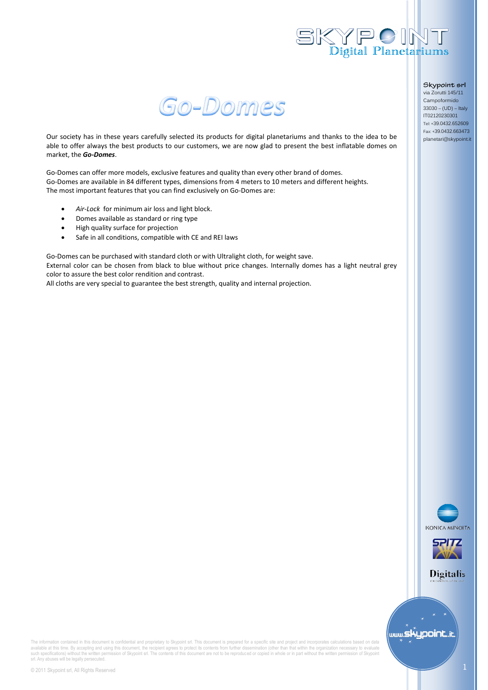



Our society has in these years carefully selected its products for digital planetariums and thanks to the idea to be able to offer always the best products to our customers, we are now glad to present the best inflatable domes on market, the *Go-Domes*.

Go-Domes can offer more models, exclusive features and quality than every other brand of domes. Go-Domes are available in 84 different types, dimensions from 4 meters to 10 meters and different heights. The most important features that you can find exclusively on Go-Domes are:

- *Air-Lock* for minimum air loss and light block.
- Domes available as standard or ring type
- High quality surface for projection
- Safe in all conditions, compatible with CE and REI laws

Go-Domes can be purchased with standard cloth or with Ultralight cloth, for weight save. External color can be chosen from black to blue without price changes. Internally domes has a light neutral grey color to assure the best color rendition and contrast.

All cloths are very special to guarantee the best strength, quality and internal projection.

Skypoint srl via Zorutti 145/11

Campoformido 33030 – (UD) – Italy IT02120230301 Tel: +39.0432.652609 Fax: +39.0432.663473 planetari@skypoint.it





**Digitalis** 



The information contained in this document is confidential and proprietary to Skypoint srl. This document is prepared for a specific site and project and incorporates calculations based on data available at this time. By accepting and using this document, the recipient agrees to protect is contents from further dissemination (other than that within the organization necessary to evaluate<br>such specifications) witho srl. Any abuses will be legally persecuted.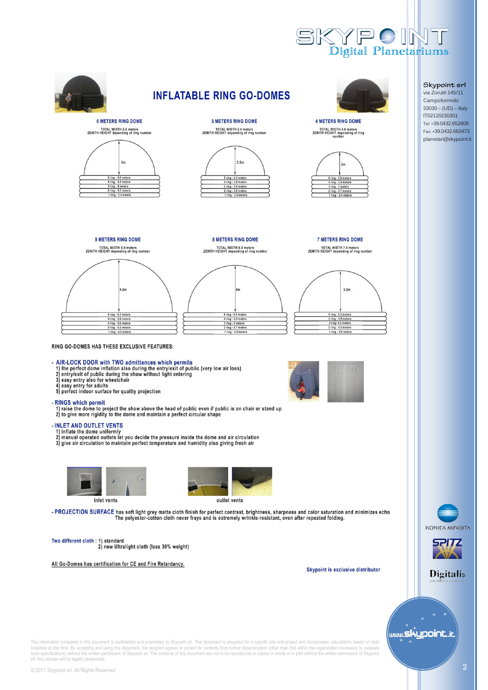



available at this time. By accepting and using this document, the recipient agrees to protect is contents from further dissemination (other than that within the organization necessary to evaluate<br>such specifications) witho srl. Any abuses will be legally persecuted.